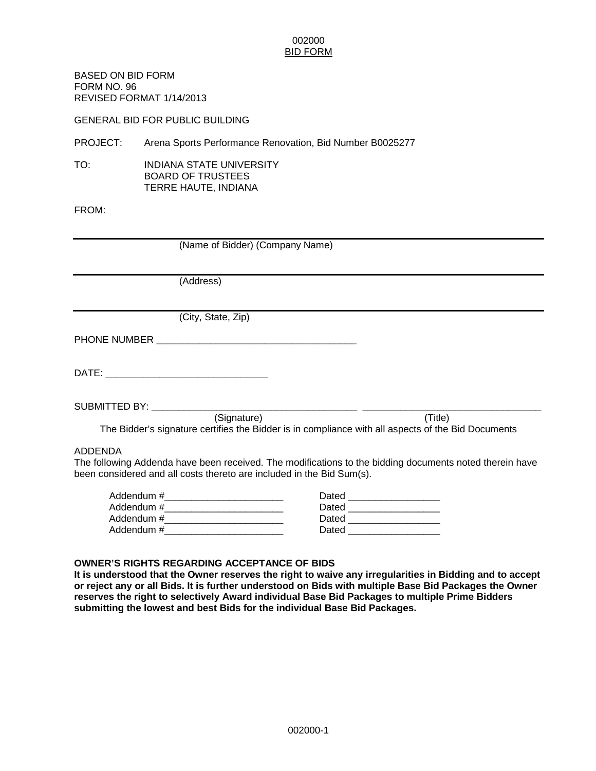BASED ON BID FORM FORM NO. 96 REVISED FORMAT 1/14/2013

GENERAL BID FOR PUBLIC BUILDING

PROJECT: Arena Sports Performance Renovation, Bid Number B0025277

TO: INDIANA STATE UNIVERSITY BOARD OF TRUSTEES TERRE HAUTE, INDIANA

#### FROM:

| (Name of Bidder) (Company Name)                                                                                                                                                             |  |  |
|---------------------------------------------------------------------------------------------------------------------------------------------------------------------------------------------|--|--|
|                                                                                                                                                                                             |  |  |
| (Address)                                                                                                                                                                                   |  |  |
|                                                                                                                                                                                             |  |  |
| (City, State, Zip)                                                                                                                                                                          |  |  |
|                                                                                                                                                                                             |  |  |
|                                                                                                                                                                                             |  |  |
| SUBMITTED BY: __________<br>(Signature)<br>(Title)<br>The Bidder's signature certifies the Bidder is in compliance with all aspects of the Bid Documents                                    |  |  |
| ADDENDA<br>The following Addenda have been received. The modifications to the bidding documents noted therein have<br>been considered and all costs thereto are included in the Bid Sum(s). |  |  |

| Addendum #_ | Dated |
|-------------|-------|
| Addendum #_ | Dated |
| Addendum #_ | Dated |
| Addendum #_ | Dated |

#### **OWNER'S RIGHTS REGARDING ACCEPTANCE OF BIDS**

**It is understood that the Owner reserves the right to waive any irregularities in Bidding and to accept or reject any or all Bids. It is further understood on Bids with multiple Base Bid Packages the Owner reserves the right to selectively Award individual Base Bid Packages to multiple Prime Bidders submitting the lowest and best Bids for the individual Base Bid Packages.**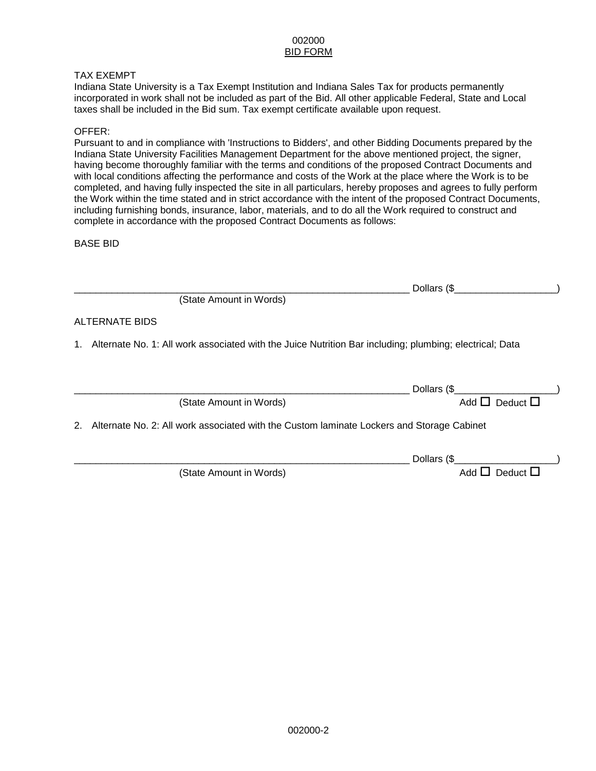#### TAX EXEMPT

Indiana State University is a Tax Exempt Institution and Indiana Sales Tax for products permanently incorporated in work shall not be included as part of the Bid. All other applicable Federal, State and Local taxes shall be included in the Bid sum. Tax exempt certificate available upon request.

#### OFFER:

Pursuant to and in compliance with 'Instructions to Bidders', and other Bidding Documents prepared by the Indiana State University Facilities Management Department for the above mentioned project, the signer, having become thoroughly familiar with the terms and conditions of the proposed Contract Documents and with local conditions affecting the performance and costs of the Work at the place where the Work is to be completed, and having fully inspected the site in all particulars, hereby proposes and agrees to fully perform the Work within the time stated and in strict accordance with the intent of the proposed Contract Documents, including furnishing bonds, insurance, labor, materials, and to do all the Work required to construct and complete in accordance with the proposed Contract Documents as follows:

BASE BID

|                                                                                                         | Dollars (\$                 |  |
|---------------------------------------------------------------------------------------------------------|-----------------------------|--|
| (State Amount in Words)                                                                                 |                             |  |
| ALTERNATE BIDS                                                                                          |                             |  |
| Alternate No. 1: All work associated with the Juice Nutrition Bar including; plumbing; electrical; Data |                             |  |
|                                                                                                         | Dollars (\$                 |  |
| (State Amount in Words)                                                                                 | Add $\Box$ Deduct $\Box$    |  |
| Alternate No. 2: All work associated with the Custom laminate Lockers and Storage Cabinet<br>2.         |                             |  |
|                                                                                                         | Dollars (\$                 |  |
| (State Amount in Words)                                                                                 | Deduct $\Box$<br>Add $\Box$ |  |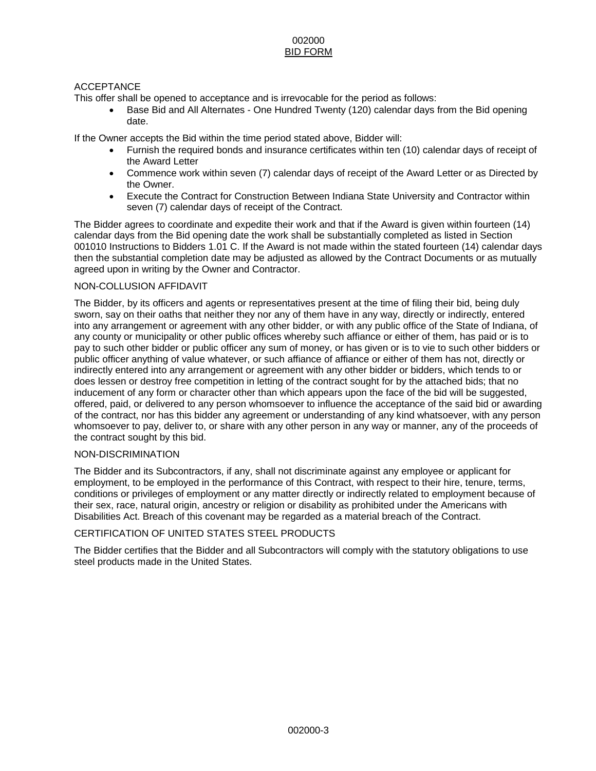#### ACCEPTANCE

This offer shall be opened to acceptance and is irrevocable for the period as follows:

• Base Bid and All Alternates - One Hundred Twenty (120) calendar days from the Bid opening date.

If the Owner accepts the Bid within the time period stated above, Bidder will:

- Furnish the required bonds and insurance certificates within ten (10) calendar days of receipt of the Award Letter
- Commence work within seven (7) calendar days of receipt of the Award Letter or as Directed by the Owner.
- Execute the Contract for Construction Between Indiana State University and Contractor within seven (7) calendar days of receipt of the Contract.

The Bidder agrees to coordinate and expedite their work and that if the Award is given within fourteen (14) calendar days from the Bid opening date the work shall be substantially completed as listed in Section 001010 Instructions to Bidders 1.01 C. If the Award is not made within the stated fourteen (14) calendar days then the substantial completion date may be adjusted as allowed by the Contract Documents or as mutually agreed upon in writing by the Owner and Contractor.

#### NON-COLLUSION AFFIDAVIT

The Bidder, by its officers and agents or representatives present at the time of filing their bid, being duly sworn, say on their oaths that neither they nor any of them have in any way, directly or indirectly, entered into any arrangement or agreement with any other bidder, or with any public office of the State of Indiana, of any county or municipality or other public offices whereby such affiance or either of them, has paid or is to pay to such other bidder or public officer any sum of money, or has given or is to vie to such other bidders or public officer anything of value whatever, or such affiance of affiance or either of them has not, directly or indirectly entered into any arrangement or agreement with any other bidder or bidders, which tends to or does lessen or destroy free competition in letting of the contract sought for by the attached bids; that no inducement of any form or character other than which appears upon the face of the bid will be suggested, offered, paid, or delivered to any person whomsoever to influence the acceptance of the said bid or awarding of the contract, nor has this bidder any agreement or understanding of any kind whatsoever, with any person whomsoever to pay, deliver to, or share with any other person in any way or manner, any of the proceeds of the contract sought by this bid.

#### NON-DISCRIMINATION

The Bidder and its Subcontractors, if any, shall not discriminate against any employee or applicant for employment, to be employed in the performance of this Contract, with respect to their hire, tenure, terms, conditions or privileges of employment or any matter directly or indirectly related to employment because of their sex, race, natural origin, ancestry or religion or disability as prohibited under the Americans with Disabilities Act. Breach of this covenant may be regarded as a material breach of the Contract.

#### CERTIFICATION OF UNITED STATES STEEL PRODUCTS

The Bidder certifies that the Bidder and all Subcontractors will comply with the statutory obligations to use steel products made in the United States.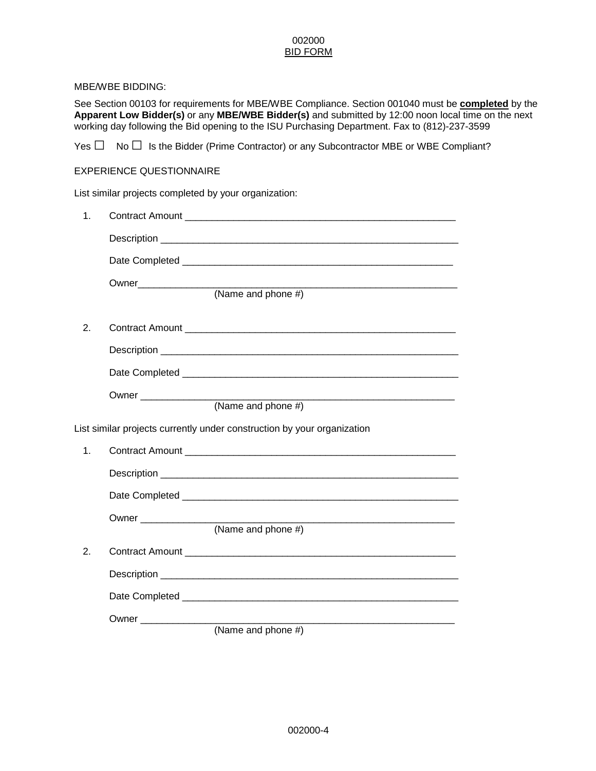#### MBE/WBE BIDDING:

See Section 00103 for requirements for MBE/WBE Compliance. Section 001040 must be **completed** by the **Apparent Low Bidder(s)** or any **MBE/WBE Bidder(s)** and submitted by 12:00 noon local time on the next working day following the Bid opening to the ISU Purchasing Department. Fax to (812)-237-3599

Yes **□** No**□** Is the Bidder (Prime Contractor) or any Subcontractor MBE or WBE Compliant?

#### EXPERIENCE QUESTIONNAIRE

List similar projects completed by your organization:

| 1. |                                                                         |
|----|-------------------------------------------------------------------------|
|    |                                                                         |
|    |                                                                         |
|    |                                                                         |
|    | (Name and phone #)                                                      |
| 2. |                                                                         |
|    |                                                                         |
|    |                                                                         |
|    |                                                                         |
|    | (Name and phone $#$ )                                                   |
|    | List similar projects currently under construction by your organization |
| 1. |                                                                         |
|    |                                                                         |
|    |                                                                         |
|    |                                                                         |
|    | (Name and phone #)                                                      |
| 2. |                                                                         |
|    |                                                                         |
|    |                                                                         |
|    |                                                                         |
|    | (Name and phone $#$ )                                                   |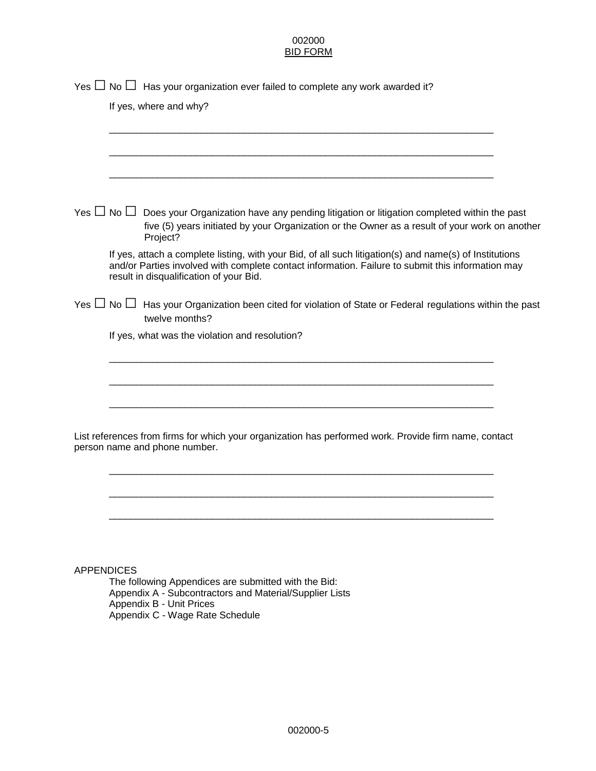|                   | Yes $\Box$ No $\Box$ Has your organization ever failed to complete any work awarded it?                                                                                                                                                                 |  |
|-------------------|---------------------------------------------------------------------------------------------------------------------------------------------------------------------------------------------------------------------------------------------------------|--|
|                   | If yes, where and why?                                                                                                                                                                                                                                  |  |
|                   |                                                                                                                                                                                                                                                         |  |
|                   |                                                                                                                                                                                                                                                         |  |
|                   |                                                                                                                                                                                                                                                         |  |
|                   | Yes $\Box$ No $\Box$ Does your Organization have any pending litigation or litigation completed within the past<br>five (5) years initiated by your Organization or the Owner as a result of your work on another<br>Project?                           |  |
|                   | If yes, attach a complete listing, with your Bid, of all such litigation(s) and name(s) of Institutions<br>and/or Parties involved with complete contact information. Failure to submit this information may<br>result in disqualification of your Bid. |  |
|                   | Yes $\Box$ No $\Box$ Has your Organization been cited for violation of State or Federal regulations within the past<br>twelve months?                                                                                                                   |  |
|                   | If yes, what was the violation and resolution?                                                                                                                                                                                                          |  |
|                   |                                                                                                                                                                                                                                                         |  |
|                   |                                                                                                                                                                                                                                                         |  |
|                   |                                                                                                                                                                                                                                                         |  |
|                   | List references from firms for which your organization has performed work. Provide firm name, contact<br>person name and phone number.                                                                                                                  |  |
|                   |                                                                                                                                                                                                                                                         |  |
|                   |                                                                                                                                                                                                                                                         |  |
|                   |                                                                                                                                                                                                                                                         |  |
|                   |                                                                                                                                                                                                                                                         |  |
| <b>APPENDICES</b> |                                                                                                                                                                                                                                                         |  |
|                   | The following Appendices are submitted with the Bid:<br>Appendix A - Subcontractors and Material/Supplier Lists<br>Appendix B - Unit Prices                                                                                                             |  |

Appendix C - Wage Rate Schedule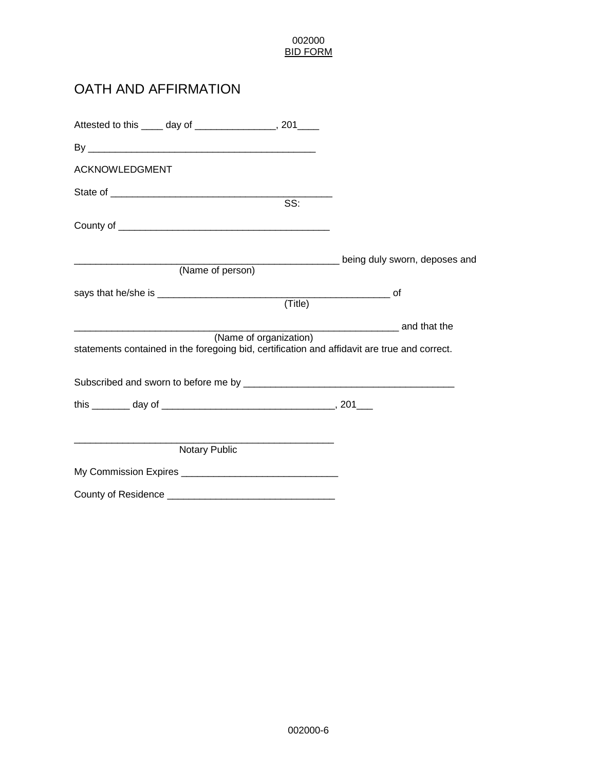# OATH AND AFFIRMATION

|                |                      | Attested to this _____ day of ________________, 201____        |                                                                                              |
|----------------|----------------------|----------------------------------------------------------------|----------------------------------------------------------------------------------------------|
|                |                      |                                                                |                                                                                              |
| ACKNOWLEDGMENT |                      |                                                                |                                                                                              |
|                |                      | SS:                                                            |                                                                                              |
|                |                      |                                                                |                                                                                              |
|                |                      |                                                                |                                                                                              |
|                |                      |                                                                | <b>No. 2016</b> being duly sworn, deposes and                                                |
|                | (Name of person)     |                                                                |                                                                                              |
|                |                      |                                                                |                                                                                              |
|                |                      | (Title)                                                        |                                                                                              |
|                |                      |                                                                | and that the                                                                                 |
|                |                      | (Name of organization)                                         | statements contained in the foregoing bid, certification and affidavit are true and correct. |
|                |                      |                                                                |                                                                                              |
|                |                      |                                                                |                                                                                              |
|                |                      |                                                                |                                                                                              |
|                | <b>Notary Public</b> |                                                                |                                                                                              |
|                |                      |                                                                |                                                                                              |
|                |                      | County of Residence <b>contract to the County of Residence</b> |                                                                                              |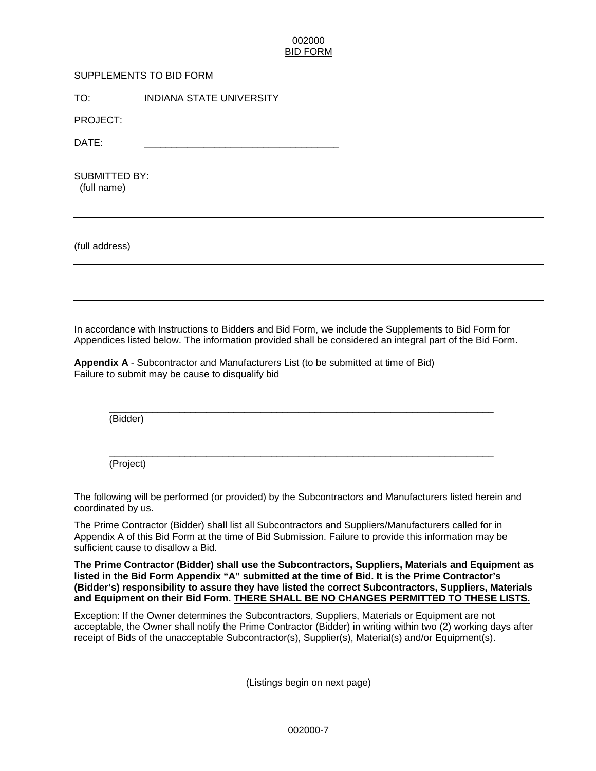#### SUPPLEMENTS TO BID FORM

TO: INDIANA STATE UNIVERSITY

PROJECT:

DATE: \_\_\_\_\_\_\_\_\_\_\_\_\_\_\_\_\_\_\_\_\_\_\_\_\_\_\_\_\_\_\_\_\_\_\_\_

SUBMITTED BY: (full name)

(full address)

In accordance with Instructions to Bidders and Bid Form, we include the Supplements to Bid Form for Appendices listed below. The information provided shall be considered an integral part of the Bid Form.

**Appendix A** - Subcontractor and Manufacturers List (to be submitted at time of Bid) Failure to submit may be cause to disqualify bid

\_\_\_\_\_\_\_\_\_\_\_\_\_\_\_\_\_\_\_\_\_\_\_\_\_\_\_\_\_\_\_\_\_\_\_\_\_\_\_\_\_\_\_\_\_\_\_\_\_\_\_\_\_\_\_\_\_\_\_\_\_\_\_\_\_\_\_\_\_\_\_ (Bidder)

\_\_\_\_\_\_\_\_\_\_\_\_\_\_\_\_\_\_\_\_\_\_\_\_\_\_\_\_\_\_\_\_\_\_\_\_\_\_\_\_\_\_\_\_\_\_\_\_\_\_\_\_\_\_\_\_\_\_\_\_\_\_\_\_\_\_\_\_\_\_\_ (Project)

The following will be performed (or provided) by the Subcontractors and Manufacturers listed herein and coordinated by us.

The Prime Contractor (Bidder) shall list all Subcontractors and Suppliers/Manufacturers called for in Appendix A of this Bid Form at the time of Bid Submission. Failure to provide this information may be sufficient cause to disallow a Bid.

**The Prime Contractor (Bidder) shall use the Subcontractors, Suppliers, Materials and Equipment as listed in the Bid Form Appendix "A" submitted at the time of Bid. It is the Prime Contractor's (Bidder's) responsibility to assure they have listed the correct Subcontractors, Suppliers, Materials and Equipment on their Bid Form. THERE SHALL BE NO CHANGES PERMITTED TO THESE LISTS.**

Exception: If the Owner determines the Subcontractors, Suppliers, Materials or Equipment are not acceptable, the Owner shall notify the Prime Contractor (Bidder) in writing within two (2) working days after receipt of Bids of the unacceptable Subcontractor(s), Supplier(s), Material(s) and/or Equipment(s).

(Listings begin on next page)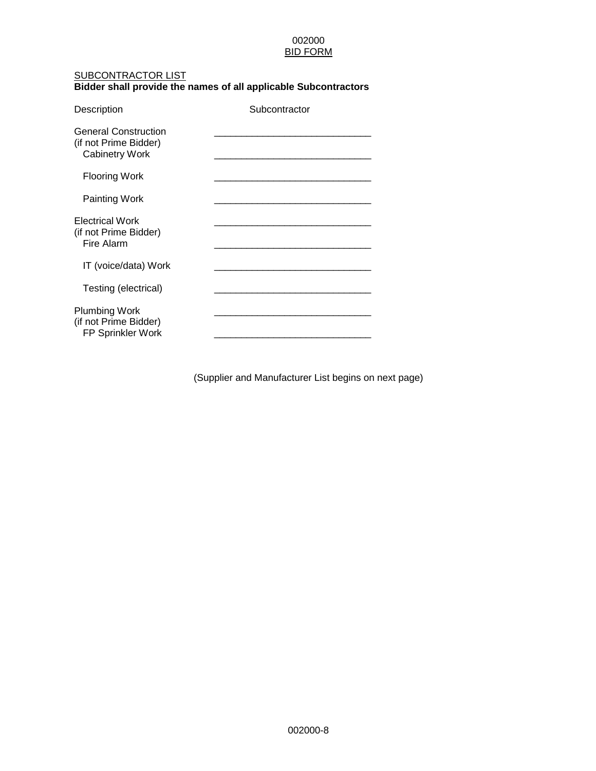#### SUBCONTRACTOR LIST

#### **Bidder shall provide the names of all applicable Subcontractors**

| Description                                                                   | Subcontractor |
|-------------------------------------------------------------------------------|---------------|
| <b>General Construction</b><br>(if not Prime Bidder)<br><b>Cabinetry Work</b> |               |
| Flooring Work                                                                 |               |
| Painting Work                                                                 |               |
| <b>Electrical Work</b><br>(if not Prime Bidder)<br>Fire Alarm                 |               |
| IT (voice/data) Work                                                          |               |
| Testing (electrical)                                                          |               |
| <b>Plumbing Work</b><br>(if not Prime Bidder)<br>FP Sprinkler Work            |               |

(Supplier and Manufacturer List begins on next page)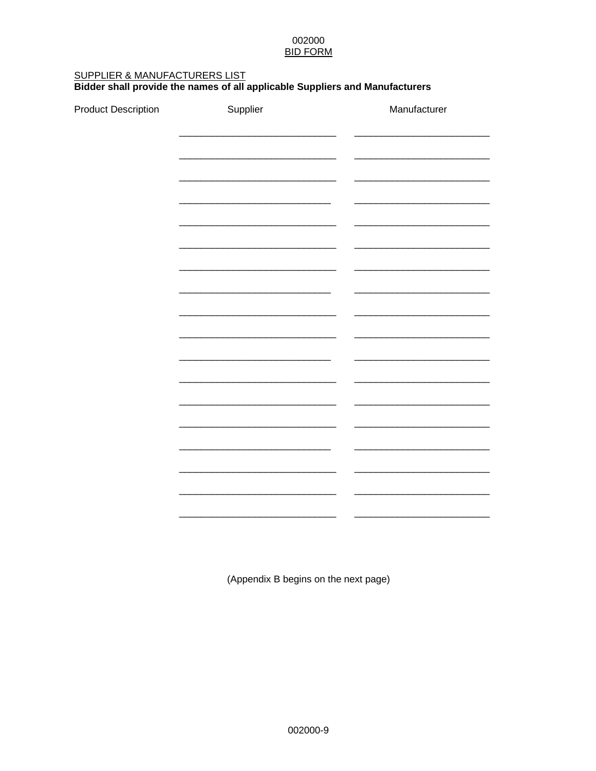# SUPPLIER & MANUFACTURERS LIST<br>Bidder shall provide the names of all applicable Suppliers and Manufacturers

**Product Description** 

| Manufacturer |
|--------------|
|              |
|              |
|              |
|              |
|              |
|              |
|              |
|              |
|              |
|              |
|              |
|              |
|              |

(Appendix B begins on the next page)